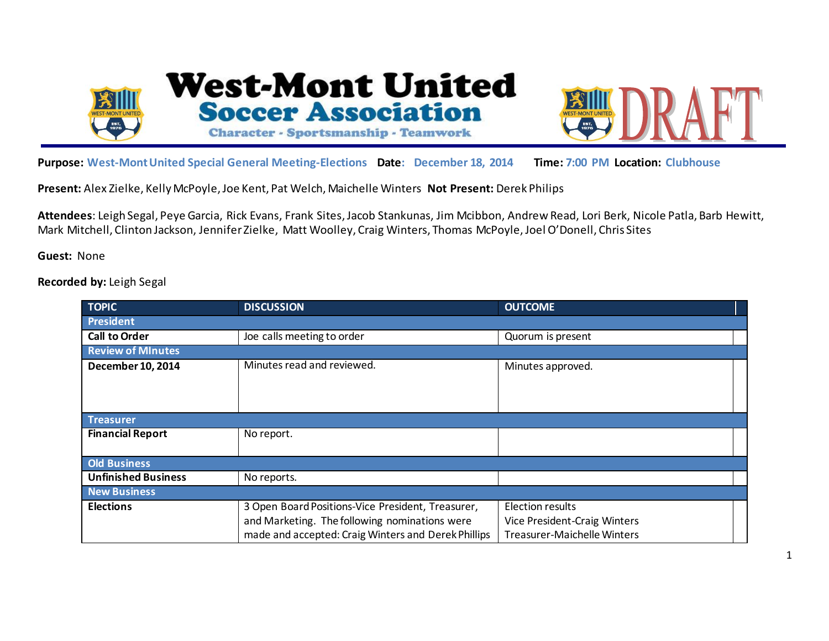



**Purpose: West-Mont United Special General Meeting-Elections Date: December 18, 2014 Time: 7:00 PM Location: Clubhouse**

**Present:** Alex Zielke, Kelly McPoyle, Joe Kent, Pat Welch, Maichelle Winters **Not Present:** Derek Philips

**Attendees**: Leigh Segal, Peye Garcia, Rick Evans, Frank Sites, Jacob Stankunas, Jim Mcibbon, Andrew Read, Lori Berk, Nicole Patla, Barb Hewitt, Mark Mitchell, Clinton Jackson, Jennifer Zielke, Matt Woolley, Craig Winters, Thomas McPoyle, Joel O'Donell, Chris Sites

**Guest:** None

**Recorded by:** Leigh Segal

| TOPIC                      | <b>DISCUSSION</b>                                   | <b>OUTCOME</b>               |  |
|----------------------------|-----------------------------------------------------|------------------------------|--|
| <b>President</b>           |                                                     |                              |  |
| <b>Call to Order</b>       | Joe calls meeting to order                          | Quorum is present            |  |
| <b>Review of MInutes</b>   |                                                     |                              |  |
| December 10, 2014          | Minutes read and reviewed.                          | Minutes approved.            |  |
|                            |                                                     |                              |  |
|                            |                                                     |                              |  |
| Treasurer                  |                                                     |                              |  |
|                            |                                                     |                              |  |
| <b>Financial Report</b>    | No report.                                          |                              |  |
|                            |                                                     |                              |  |
| <b>Old Business</b>        |                                                     |                              |  |
| <b>Unfinished Business</b> | No reports.                                         |                              |  |
| <b>New Business</b>        |                                                     |                              |  |
| <b>Elections</b>           | 3 Open Board Positions-Vice President, Treasurer,   | <b>Election results</b>      |  |
|                            | and Marketing. The following nominations were       | Vice President-Craig Winters |  |
|                            | made and accepted: Craig Winters and Derek Phillips | Treasurer-Maichelle Winters  |  |